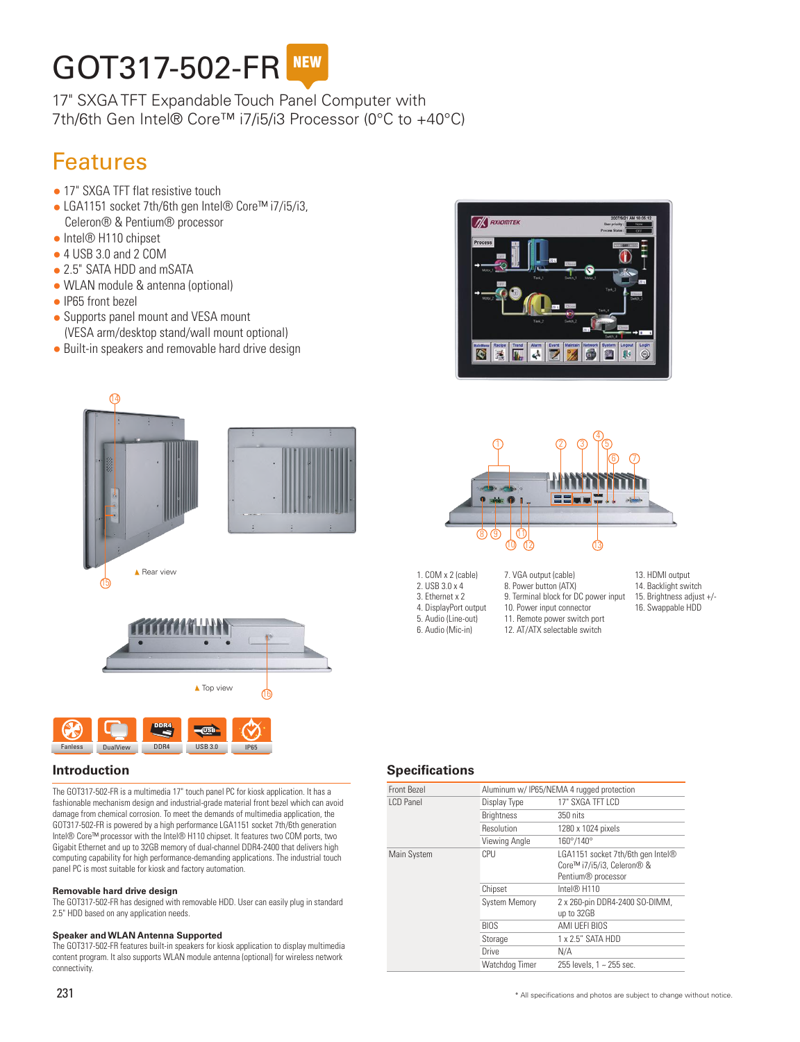# GOT317-502-FR NEW

17" SXGA TFT Expandable Touch Panel Computer with 7th/6th Gen Intel® Core™ i7/i5/i3 Processor (0°C to +40°C)

# Features

- 17" SXGA TFT flat resistive touch
- LGA1151 socket 7th/6th gen Intel® Core™ i7/i5/i3, Celeron® & Pentium® processor
- Intel® H110 chipset
- $\bullet$  4 USB 3.0 and 2 COM
- 2.5" SATA HDD and mSATA
- WLAN module & antenna (optional)
- IP65 front bezel
- Supports panel mount and VESA mount (VESA arm/desktop stand/wall mount optional)
- Built-in speakers and removable hard drive design







The GOT317-502-FR is a multimedia 17" touch panel PC for kiosk application. It has a fashionable mechanism design and industrial-grade material front bezel which can avoid damage from chemical corrosion. To meet the demands of multimedia application, the GOT317-502-FR is powered by a high performance LGA1151 socket 7th/6th generation Intel® Core™ processor with the Intel® H110 chipset. It features two COM ports, two Gigabit Ethernet and up to 32GB memory of dual-channel DDR4-2400 that delivers high computing capability for high performance-demanding applications. The industrial touch panel PC is most suitable for kiosk and factory automation.

#### **Removable hard drive design**

The GOT317-502-FR has designed with removable HDD. User can easily plug in standard 2.5" HDD based on any application needs.

#### **Speaker and WLAN Antenna Supported**

The GOT317-502-FR features built-in speakers for kiosk application to display multimedia content program. It also supports WLAN module antenna (optional) for wireless network connectivity.





9. Terminal block for DC power input 10. Power input connector 11. Remote power switch port

7. VGA output (cable) 8. Power button (ATX)

- 2. USB 3.0 x 4
- 3. Ethernet x 2
- 4. DisplayPort output
- 5. Audio (Line-out) 6. Audio (Mic-in)
- 
- 13. HDMI output
- 14. Backlight switch 15. Brightness adjust +/-
- 16. Swappable HDD
- 12. AT/ATX selectable switch

# **Introduction Specifications**

|                      | Aluminum w/ IP65/NEMA 4 rugged protection                                                         |
|----------------------|---------------------------------------------------------------------------------------------------|
| Display Type         | 17" SXGA TFT I CD                                                                                 |
| <b>Brightness</b>    | 350 nits                                                                                          |
| Resolution           | 1280 x 1024 pixels                                                                                |
| Viewing Angle        | 160°/140°                                                                                         |
| CPU                  | LGA1151 socket 7th/6th gen Intel®<br>Core™ i7/i5/i3, Celeron® &<br>Pentium <sup>®</sup> processor |
| Chipset              | Intel® H110                                                                                       |
| <b>System Memory</b> | 2 x 260-pin DDR4-2400 SO-DIMM,<br>up to 32GB                                                      |
| <b>BIOS</b>          | AMI UFFI BIOS                                                                                     |
| Storage              | $1 \times 2.5$ " SATA HDD                                                                         |
| Drive                | N/A                                                                                               |
| Watchdog Timer       | 255 levels, 1 ~ 255 sec.                                                                          |
|                      |                                                                                                   |